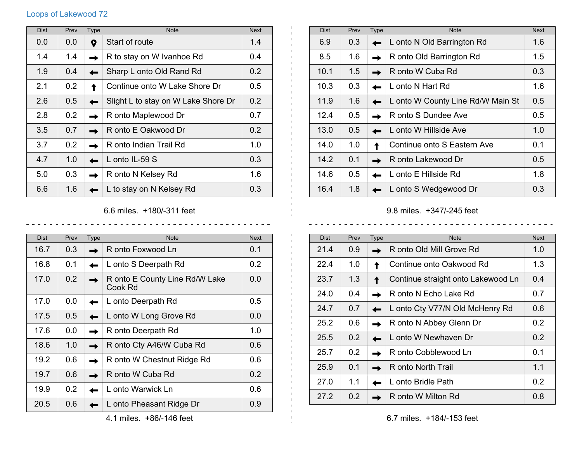## Loops of Lakewood 72

| <b>Dist</b> | Prev | <b>Type</b> | <b>Note</b>                         | <b>Next</b> |
|-------------|------|-------------|-------------------------------------|-------------|
| 0.0         | 0.0  | 0           | Start of route                      | 1.4         |
| 1.4         | 1.4  |             | R to stay on W Ivanhoe Rd           | 0.4         |
| 1.9         | 0.4  |             | Sharp L onto Old Rand Rd            | 0.2         |
| 2.1         | 0.2  |             | Continue onto W Lake Shore Dr       | 0.5         |
| 2.6         | 0.5  |             | Slight L to stay on W Lake Shore Dr | 0.2         |
| 2.8         | 0.2  |             | R onto Maplewood Dr                 | 0.7         |
| 3.5         | 0.7  |             | R onto E Oakwood Dr                 | 0.2         |
| 3.7         | 0.2  |             | R onto Indian Trail Rd              | 1.0         |
| 4.7         | 1.0  |             | L onto IL-59 S                      | 0.3         |
| 5.0         | 0.3  |             | R onto N Kelsey Rd                  | 1.6         |
| 6.6         | 1.6  |             | L to stay on N Kelsey Rd            | 0.3         |

Dist Prev Type Note Note Next Note Next 6.9 0.3 **L** onto N Old Barrington Rd 1.6 8.5 1.6 **R** R onto Old Barrington Rd 1.5  $10.1$  | 1.5 | R onto W Cuba Rd  $0.3$ 10.3 0.3 **L** L onto N Hart Rd 1.6 11.9 1.6 **II** L onto W County Line Rd/W Main St 0.5 12.4 0.5 **R** R onto S Dundee Ave 0.5  $13.0 \t 0.5 \t \t 1.0$  L onto W Hillside Ave 1.0 14.0 1.0 Continue onto S Eastern Ave 0.1 14.2 0.1 **R** R onto Lakewood Dr 0.5 14.6 0.5 **L** L onto E Hillside Rd 1.8 16.4 1.8 **L** L onto S Wedgewood Dr 0.3

6.6 miles. +180/-311 feet

| <b>Dist</b> | Prev | Type | <b>Note</b>                               | <b>Next</b>      |
|-------------|------|------|-------------------------------------------|------------------|
| 16.7        | 0.3  |      | R onto Foxwood Ln                         | 0.1              |
| 16.8        | 0.1  |      | L onto S Deerpath Rd                      | 0.2 <sub>0</sub> |
| 17.0        | 0.2  |      | R onto E County Line Rd/W Lake<br>Cook Rd | 0.0              |
| 17.0        | 0.0  |      | L onto Deerpath Rd                        | 0.5              |
| 17.5        | 0.5  |      | L onto W Long Grove Rd                    | 0.0              |
| 17.6        | 0.0  |      | R onto Deerpath Rd                        | 1.0              |
| 18.6        | 1.0  |      | R onto Cty A46/W Cuba Rd                  | 0.6              |
| 19.2        | 0.6  |      | R onto W Chestnut Ridge Rd                | 0.6              |
| 19.7        | 0.6  |      | R onto W Cuba Rd                          | 0.2              |
| 19.9        | 0.2  |      | L onto Warwick Ln                         | 0.6              |
| 20.5        | 0.6  |      | L onto Pheasant Ridge Dr                  | 0.9              |

9.8 miles. +347/-245 feet

| <b>Dist</b> | Prev | <b>Type</b> | <b>Note</b>                        | <b>Next</b>      |
|-------------|------|-------------|------------------------------------|------------------|
| 21.4        | 0.9  |             | R onto Old Mill Grove Rd           | 1.0              |
| 22.4        | 1.0  |             | Continue onto Oakwood Rd           | 1.3              |
| 23.7        | 1.3  |             | Continue straight onto Lakewood Ln | 0.4              |
| 24.0        | 0.4  |             | R onto N Echo Lake Rd              | 0.7              |
| 24.7        | 0.7  |             | L onto Cty V77/N Old McHenry Rd    | 0.6              |
| 25.2        | 0.6  |             | R onto N Abbey Glenn Dr            | 0.2 <sub>0</sub> |
| 25.5        | 0.2  |             | L onto W Newhaven Dr               | $0.2^{\circ}$    |
| 25.7        | 0.2  |             | R onto Cobblewood Ln               | 0.1              |
| 25.9        | 0.1  |             | R onto North Trail                 | 1.1              |
| 27.0        | 1.1  |             | L onto Bridle Path                 | 0.2 <sub>0</sub> |
| 27.2        | 0.2  |             | R onto W Milton Rd                 | 0.8              |

4.1 miles. +86/-146 feet